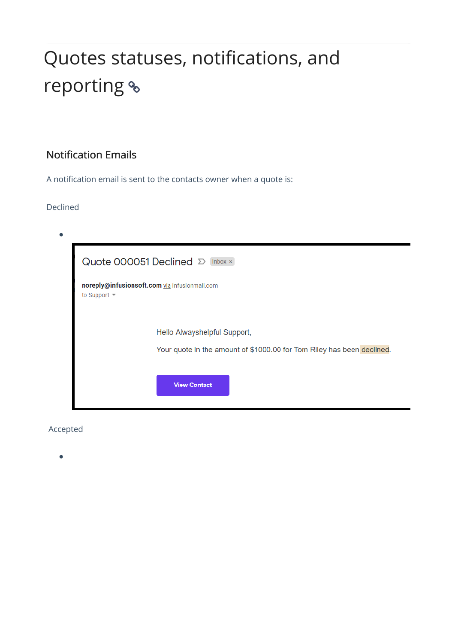# Quotes statuses, notifications, and reporting  $\textdegree$

# Notification Emails

A notification email is sent to the contacts owner when a quote is:

### Declined

| Quote 000051 Declined D Inbox x                                                                        |  |  |  |  |  |  |  |
|--------------------------------------------------------------------------------------------------------|--|--|--|--|--|--|--|
| noreply@infusionsoft.com via infusionmail.com<br>to Support                                            |  |  |  |  |  |  |  |
| Hello Alwayshelpful Support,<br>Your quote in the amount of \$1000.00 for Tom Riley has been declined. |  |  |  |  |  |  |  |
| <b>View Contact</b>                                                                                    |  |  |  |  |  |  |  |

## Accepted

 $\bullet$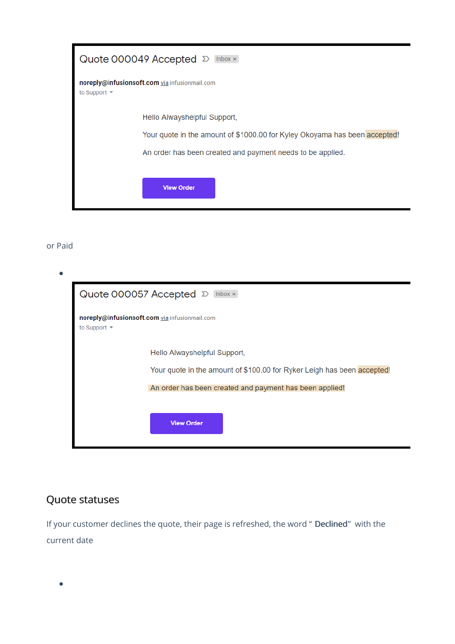|            | Quote 000049 Accepted ∑ Inbox x                                            |
|------------|----------------------------------------------------------------------------|
| to Support | noreply@infusionsoft.com via infusionmail.com                              |
|            | Hello Alwayshelpful Support,                                               |
|            | Your quote in the amount of \$1000.00 for Kyley Okoyama has been accepted! |
|            | An order has been created and payment needs to be applied.                 |
|            | <b>View Order</b>                                                          |

#### or Paid

| Quote 000057 Accepted $\mathcal{D}$<br>Inbox $\times$                                                                                                              |  |  |  |  |  |  |
|--------------------------------------------------------------------------------------------------------------------------------------------------------------------|--|--|--|--|--|--|
| noreply@infusionsoft.com via infusionmail.com<br>to Support                                                                                                        |  |  |  |  |  |  |
| Hello Alwayshelpful Support,<br>Your quote in the amount of \$100.00 for Ryker Leigh has been accepted!<br>An order has been created and payment has been applied! |  |  |  |  |  |  |
| <b>View Order</b>                                                                                                                                                  |  |  |  |  |  |  |

# Quote statuses

If your customer declines the quote, their page is refreshed, the word " Declined" with the current date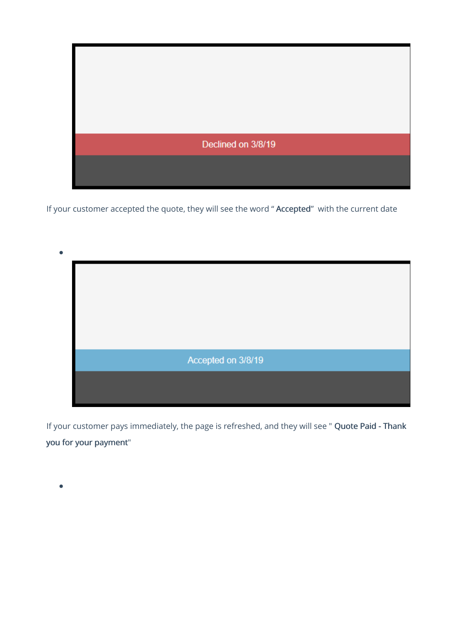

If your customer accepted the quote, they will see the word " Accepted" with the current date



If your customer pays immediately, the page is refreshed, and they will see " Quote Paid - Thank you for your payment"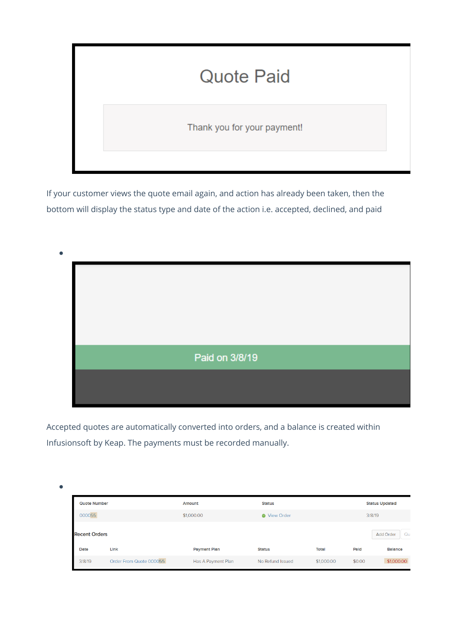# **Quote Paid**

Thank you for your payment!

If your customer views the quote email again, and action has already been taken, then the bottom will display the status type and date of the action i.e. accepted, declined, and paid



Accepted quotes are automatically converted into orders, and a balance is created within Infusionsoft by Keap. The payments must be recorded manually.

| <b>Quote Number</b>  |                         | Amount              | <b>Status</b>       |              |        | <b>Status Updated</b> |
|----------------------|-------------------------|---------------------|---------------------|--------------|--------|-----------------------|
| 000055               |                         | \$1,000.00          | <b>O</b> View Order |              | 3/8/19 |                       |
| <b>Recent Orders</b> |                         |                     |                     |              |        | <b>Add Order</b>      |
| Date                 | Link                    | <b>Payment Plan</b> | <b>Status</b>       | <b>Total</b> | Pald   | <b>Balance</b>        |
| 3/8/19               | Order From Quote 000055 | Has A Payment Plan  | No Refund Issued    | \$1,000.00   | \$0.00 | \$1,000.00            |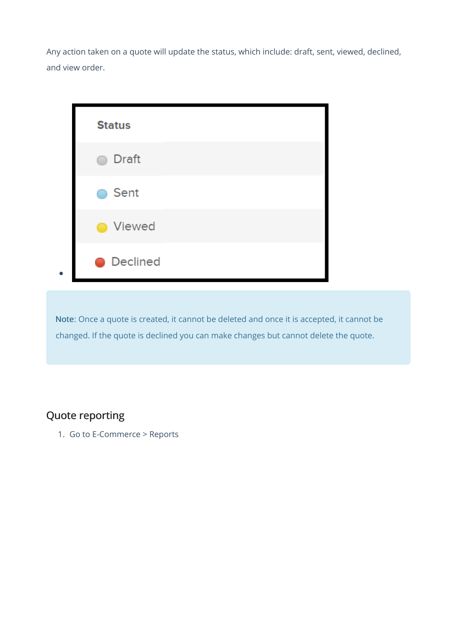Any action taken on a quote will update the status, which include: draft, sent, viewed, declined, and view order.



Note: Once a quote is created, it cannot be deleted and once it is accepted, it cannot be changed. If the quote is declined you can make changes but cannot delete the quote.

# Quote reporting

1. Go to E-Commerce > Reports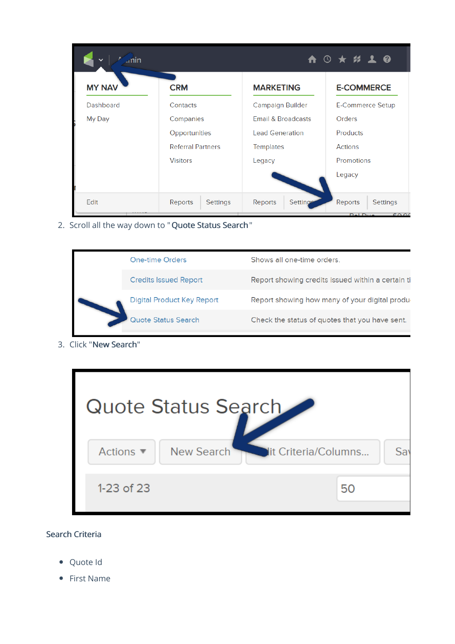| nin           |                          |                        | A 3 ★ # 1 0         |
|---------------|--------------------------|------------------------|---------------------|
| <b>MY NAV</b> | <b>CRM</b>               | <b>MARKETING</b>       | <b>E-COMMERCE</b>   |
| Dashboard     | Contacts                 | Campaign Builder       | E-Commerce Setup    |
| My Day        | Companies                | Email & Broadcasts     | Orders              |
|               | Opportunities            | <b>Lead Generation</b> | <b>Products</b>     |
|               | <b>Referral Partners</b> | <b>Templates</b>       | Actions             |
|               | <b>Visitors</b>          | Legacy                 | Promotions          |
|               |                          |                        | Legacy              |
| Edit          | Reports<br>Settings      | Reports<br>Setting     | Reports<br>Settings |

2. Scroll all the way down to "Quote Status Search"



3. Click "New Search"



### Search Criteria

- Quote Id
- First Name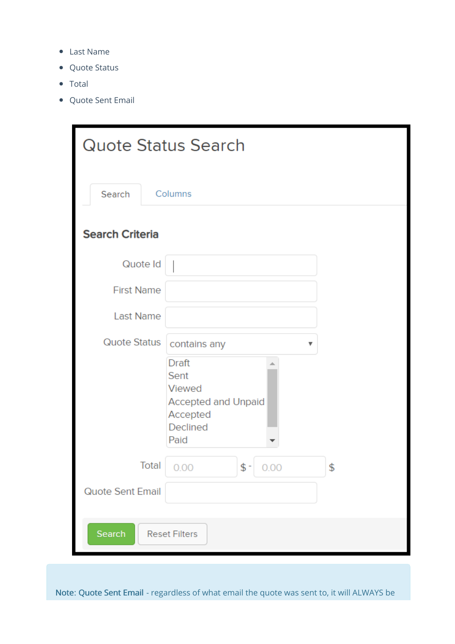- Last Name
- Quote Status
- Total
- Quote Sent Email

| <b>Quote Status Search</b> |                                                                                                     |    |  |  |  |
|----------------------------|-----------------------------------------------------------------------------------------------------|----|--|--|--|
| Search                     | Columns                                                                                             |    |  |  |  |
| <b>Search Criteria</b>     |                                                                                                     |    |  |  |  |
| Quote Id                   |                                                                                                     |    |  |  |  |
| <b>First Name</b>          |                                                                                                     |    |  |  |  |
| <b>Last Name</b>           |                                                                                                     |    |  |  |  |
| Quote Status               | contains any                                                                                        |    |  |  |  |
|                            | <b>Draft</b><br>Sent<br><b>Viewed</b><br><b>Accepted and Unpaid</b><br>Accepted<br>Declined<br>Paid |    |  |  |  |
| Total                      | $$$ -<br>0.00<br>0.00                                                                               | \$ |  |  |  |
| Quote Sent Email           |                                                                                                     |    |  |  |  |
| Search                     | <b>Reset Filters</b>                                                                                |    |  |  |  |

Note: Quote Sent Email - regardless of what email the quote was sent to, it will ALWAYS be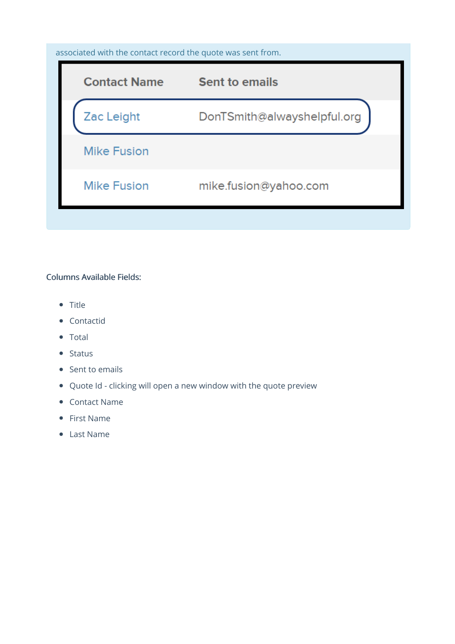### associated with the contact record the quote was sent from.

| <b>Contact Name</b> | <b>Sent to emails</b>       |
|---------------------|-----------------------------|
| Zac Leight          | DonTSmith@alwayshelpful.org |
| <b>Mike Fusion</b>  |                             |
| <b>Mike Fusion</b>  | mike.fusion@yahoo.com       |

#### Columns Available Fields:

- Title
- Contactid
- Total
- $\bullet$  Status
- Sent to emails
- Quote Id clicking will open a new window with the quote preview
- Contact Name
- First Name
- Last Name